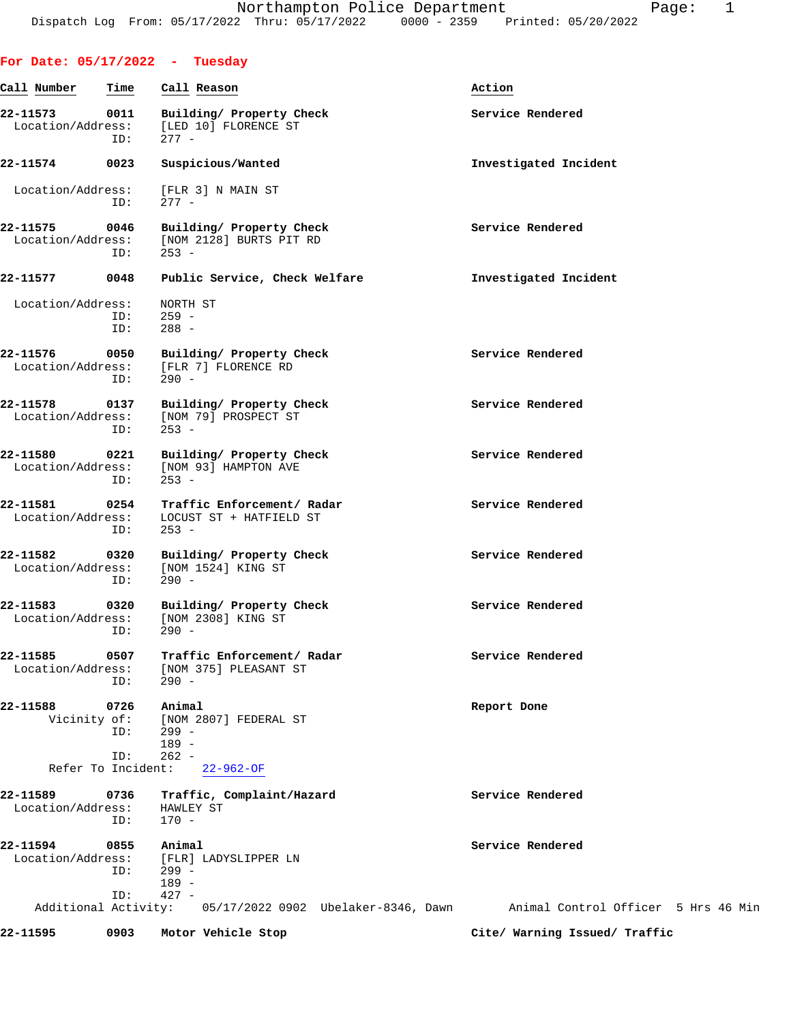| For Date: $05/17/2022 -$ Tuesday      |                     |                                                                                |                                     |
|---------------------------------------|---------------------|--------------------------------------------------------------------------------|-------------------------------------|
| Call Number                           | Time                | Call Reason                                                                    | Action                              |
| 22-11573<br>Location/Address:         | 0011<br>ID:         | Building/ Property Check<br>[LED 10] FLORENCE ST<br>$277 -$                    | Service Rendered                    |
| 22-11574                              | 0023                | Suspicious/Wanted                                                              | Investigated Incident               |
| Location/Address:                     | ID:                 | [FLR 3] N MAIN ST<br>$277 -$                                                   |                                     |
| 22-11575<br>0046<br>Location/Address: | ID:                 | Building/ Property Check<br>[NOM 2128] BURTS PIT RD<br>$253 -$                 | Service Rendered                    |
| 22-11577                              | 0048                | Public Service, Check Welfare                                                  | Investigated Incident               |
| Location/Address:                     | ID:<br>ID:          | NORTH ST<br>$259 -$<br>$288 -$                                                 |                                     |
| 22-11576<br>Location/Address:         | 0050<br>ID:         | Building/ Property Check<br>[FLR 7] FLORENCE RD<br>$290 -$                     | Service Rendered                    |
| 22-11578<br>Location/Address:         | 0137<br>ID:         | Building/ Property Check<br>[NOM 79] PROSPECT ST<br>$253 -$                    | Service Rendered                    |
| 22-11580<br>Location/Address:         | 0221<br>ID:         | Building/ Property Check<br>[NOM 93] HAMPTON AVE<br>$253 -$                    | Service Rendered                    |
| 22-11581 0254<br>Location/Address:    | ID:                 | Traffic Enforcement/ Radar<br>LOCUST ST + HATFIELD ST<br>$253 -$               | Service Rendered                    |
| 22-11582<br>Location/Address:         | 0320<br>ID:         | Building/ Property Check<br>[NOM 1524] KING ST<br>$290 -$                      | Service Rendered                    |
| 22-11583<br>Location/Address:         | 0320<br>ID:         | Building/ Property Check<br>[NOM 2308] KING ST<br>290 -                        | Service Rendered                    |
| 22-11585                              | 0507<br>ID:         | Traffic Enforcement/ Radar<br>Location/Address: [NOM 375] PLEASANT ST<br>290 - | Service Rendered                    |
| 22-11588                              | 0726<br>ID:<br>ID:  | Animal<br>Vicinity of: [NOM 2807] FEDERAL ST<br>299 -<br>189 -<br>$262 -$      | Report Done                         |
|                                       |                     | Refer To Incident: 22-962-OF                                                   |                                     |
| 22-11589<br>Location/Address:         | 0736<br>ID:         | Traffic, Complaint/Hazard<br>HAWLEY ST<br>$170 -$                              | Service Rendered                    |
| 22-11594<br>Location/Address:         | 0855<br>$ID: 299 -$ | Animal<br>[FLR] LADYSLIPPER LN<br>189 -                                        | Service Rendered                    |
|                                       | ID:                 | $427 -$<br>Additional Activity: 05/17/2022 0902 Ubelaker-8346, Dawn            | Animal Control Officer 5 Hrs 46 Min |

**22-11595 0903 Motor Vehicle Stop Cite/ Warning Issued/ Traffic**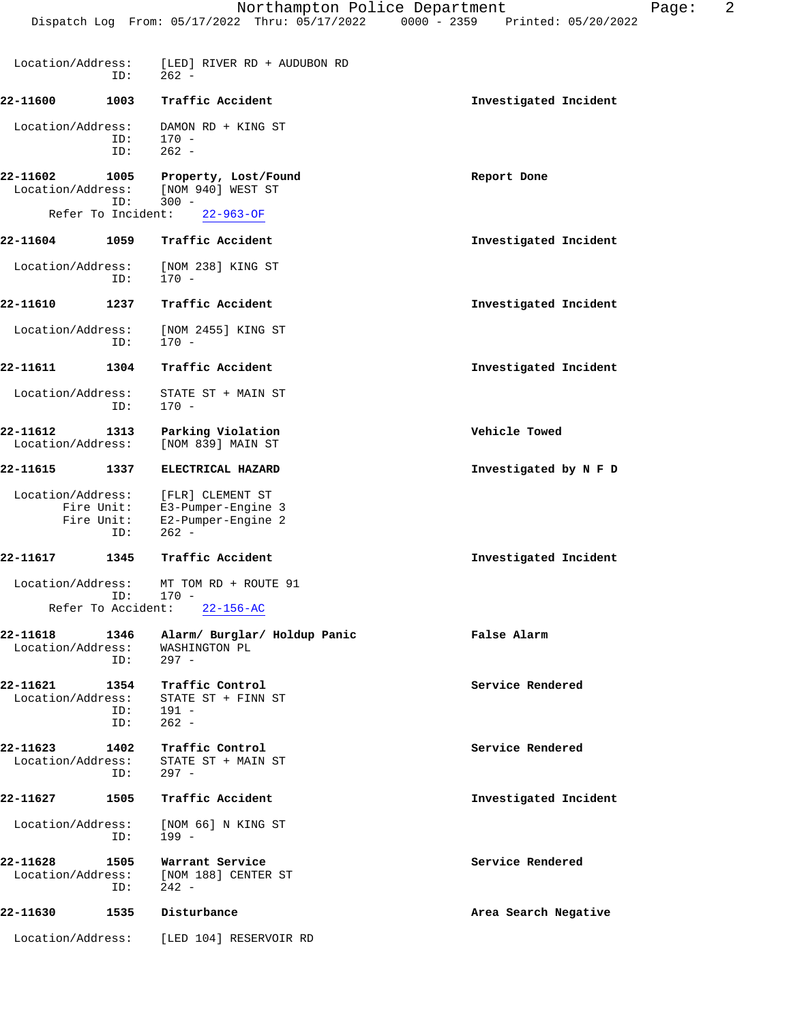| Location/Address:                                   | ID:         | [LED] RIVER RD + AUDUBON RD<br>$262 -$                                                                                                |                       |
|-----------------------------------------------------|-------------|---------------------------------------------------------------------------------------------------------------------------------------|-----------------------|
| 22-11600                                            | 1003        | Traffic Accident                                                                                                                      | Investigated Incident |
| Location/Address:                                   | ID:<br>ID:  | DAMON RD + KING ST<br>$170 -$<br>$262 -$                                                                                              |                       |
| 22-11602<br>Location/Address:<br>Refer To Incident: | 1005<br>ID: | Property, Lost/Found<br>[NOM 940] WEST ST<br>$300 -$<br>$22 - 963 - OF$                                                               | Report Done           |
| 22-11604                                            | 1059        | Traffic Accident                                                                                                                      | Investigated Incident |
| Location/Address:                                   | ID:         | [NOM 238] KING ST<br>$170 -$                                                                                                          |                       |
| 22-11610                                            | 1237        | Traffic Accident                                                                                                                      | Investigated Incident |
| Location/Address:                                   | ID:         | [NOM 2455] KING ST<br>$170 -$                                                                                                         |                       |
| 22-11611                                            | 1304        | Traffic Accident                                                                                                                      | Investigated Incident |
| Location/Address:                                   | ID:         | STATE ST + MAIN ST<br>$170 -$                                                                                                         |                       |
| 22-11612<br>Location/Address:                       | 1313        | Parking Violation<br>[NOM 839] MAIN ST                                                                                                | Vehicle Towed         |
| 22-11615                                            | 1337        | ELECTRICAL HAZARD                                                                                                                     | Investigated by N F D |
| Fire Unit:                                          | ID:         | Location/Address: [FLR] CLEMENT ST<br>Fire Unit: E3-Pumper-Engine 3<br>Fire Unit: E2-Pumper-Engine 2<br>E2-Pumper-Engine 2<br>$262 -$ |                       |
| 22-11617                                            | 1345        | Traffic Accident                                                                                                                      | Investigated Incident |
| Location/Address:                                   | ID:         | MT TOM RD + ROUTE 91<br>$170 -$                                                                                                       |                       |
| Refer To Accident:                                  |             | $22 - 156 - AC$                                                                                                                       |                       |
| 22-11618                                            | 1346<br>ID: | Alarm/ Burglar/ Holdup Panic<br>Location/Address: WASHINGTON PL<br>$297 -$                                                            | False Alarm           |
| 22-11621<br>Location/Address:                       | ID:<br>ID:  | 1354 Traffic Control<br>STATE ST + FINN ST<br>$191 -$<br>$262 -$                                                                      | Service Rendered      |
| 22-11623<br>Location/Address:                       | 1402<br>ID: | Traffic Control<br>STATE ST + MAIN ST<br>$297 -$                                                                                      | Service Rendered      |
| 22-11627                                            | 1505        | Traffic Accident                                                                                                                      | Investigated Incident |
| Location/Address:                                   | ID:         | [NOM 66] N KING ST<br>$199 -$                                                                                                         |                       |
| 22-11628                                            | 1505<br>ID: | Warrant Service<br>Location/Address: [NOM 188] CENTER ST<br>$242 -$                                                                   | Service Rendered      |
| 22-11630                                            | 1535        | Disturbance                                                                                                                           | Area Search Negative  |
| Location/Address:                                   |             | [LED 104] RESERVOIR RD                                                                                                                |                       |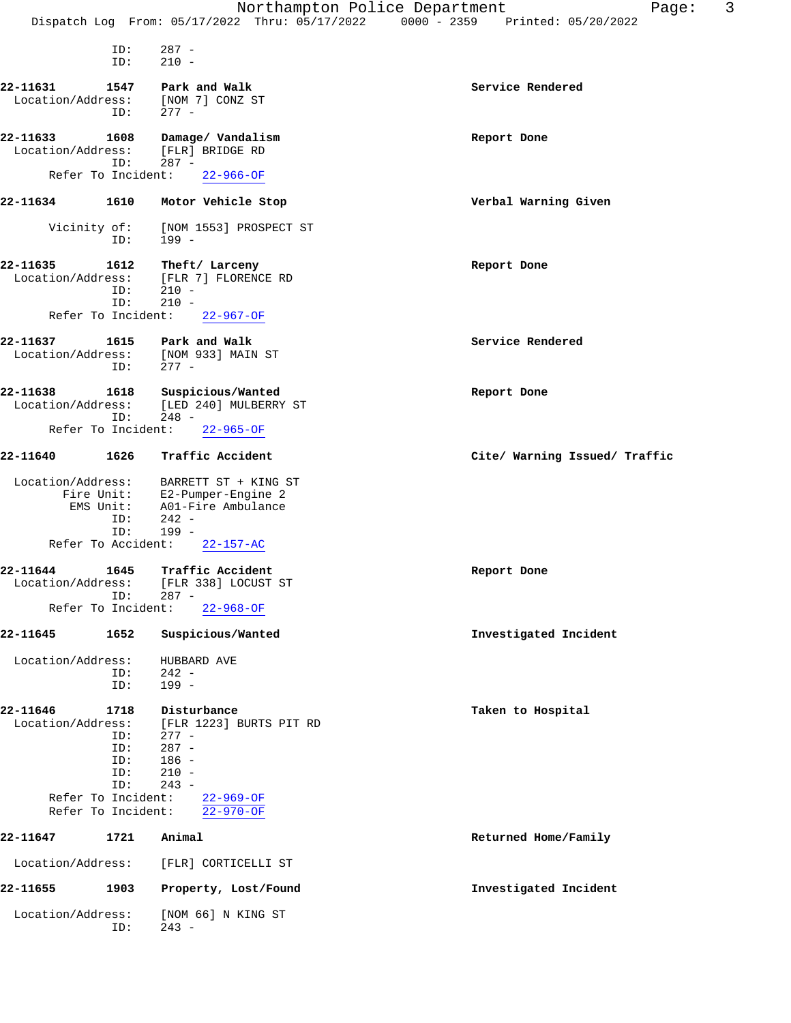|                               |                                                             | Northampton Police Department                                                                             | 3<br>Page:                           |
|-------------------------------|-------------------------------------------------------------|-----------------------------------------------------------------------------------------------------------|--------------------------------------|
|                               |                                                             | Dispatch Log From: 05/17/2022 Thru: 05/17/2022                                                            | $0000 - 2359$<br>Printed: 05/20/2022 |
|                               | ID:<br>ID:                                                  | $287 -$<br>$210 -$                                                                                        |                                      |
| 22-11631<br>Location/Address: | 1547<br>ID:                                                 | Park and Walk<br>[NOM 7] CONZ ST<br>$277 -$                                                               | Service Rendered                     |
| 22-11633<br>Location/Address: | 1608<br>ID:                                                 | Damage/ Vandalism<br>[FLR] BRIDGE RD<br>$287 -$                                                           | Report Done                          |
|                               | Refer To Incident:                                          | $22 - 966 - OF$                                                                                           |                                      |
| 22-11634                      | 1610                                                        | Motor Vehicle Stop                                                                                        | Verbal Warning Given                 |
| Vicinity of:                  | ID:                                                         | [NOM 1553] PROSPECT ST<br>$199 -$                                                                         |                                      |
| 22-11635<br>Location/Address: | 1612<br>ID:<br>ID:<br>Refer To Incident:                    | Theft/ Larceny<br>[FLR 7] FLORENCE RD<br>$210 -$<br>$210 -$<br>$22 - 967 - OF$                            | Report Done                          |
|                               |                                                             |                                                                                                           |                                      |
| 22-11637<br>Location/Address: | 1615<br>ID:                                                 | Park and Walk<br>[NOM 933] MAIN ST<br>$277 -$                                                             | Service Rendered                     |
| 22-11638<br>Location/Address: | 1618<br>ID:<br>Refer To Incident:                           | Suspicious/Wanted<br>[LED 240] MULBERRY ST<br>$248 -$<br>$22 - 965 - OF$                                  | Report Done                          |
| 22-11640                      | 1626                                                        | Traffic Accident                                                                                          | Cite/ Warning Issued/ Traffic        |
| Location/Address:             | Fire Unit:<br>EMS Unit:<br>ID:<br>ID:<br>Refer To Accident: | BARRETT ST + KING ST<br>E2-Pumper-Engine 2<br>A01-Fire Ambulance<br>$242 -$<br>$199 -$<br>$22 - 157 - AC$ |                                      |
| 22-11644<br>Location/Address: | 1645<br>ID:                                                 | Traffic Accident<br>[FLR 338] LOCUST ST<br>$287 -$                                                        | Report Done                          |
|                               | Refer To Incident:                                          | $22 - 968 - OF$                                                                                           |                                      |
| 22-11645                      | 1652                                                        | Suspicious/Wanted                                                                                         | Investigated Incident                |
| Location/Address:             | ID:<br>ID:                                                  | HUBBARD AVE<br>$242 -$<br>$199 -$                                                                         |                                      |
| 22-11646<br>Location/Address: | 1718<br>ID:<br>ID:<br>ID:<br>ID:<br>ID:                     | Disturbance<br>[FLR 1223] BURTS PIT RD<br>$277 -$<br>$287 -$<br>$186 -$<br>$210 -$<br>$243 -$             | Taken to Hospital                    |
|                               | Refer To Incident:<br>Refer To Incident:                    | $22 - 969 - OF$<br>$22 - 970 - OF$                                                                        |                                      |
| 22-11647                      | 1721                                                        | Animal                                                                                                    | Returned Home/Family                 |
| Location/Address:             |                                                             | [FLR] CORTICELLI ST                                                                                       |                                      |
| 22-11655                      | 1903                                                        | Property, Lost/Found                                                                                      | Investigated Incident                |
| Location/Address:             | ID:                                                         | [NOM 66] N KING ST<br>$243 -$                                                                             |                                      |
|                               |                                                             |                                                                                                           |                                      |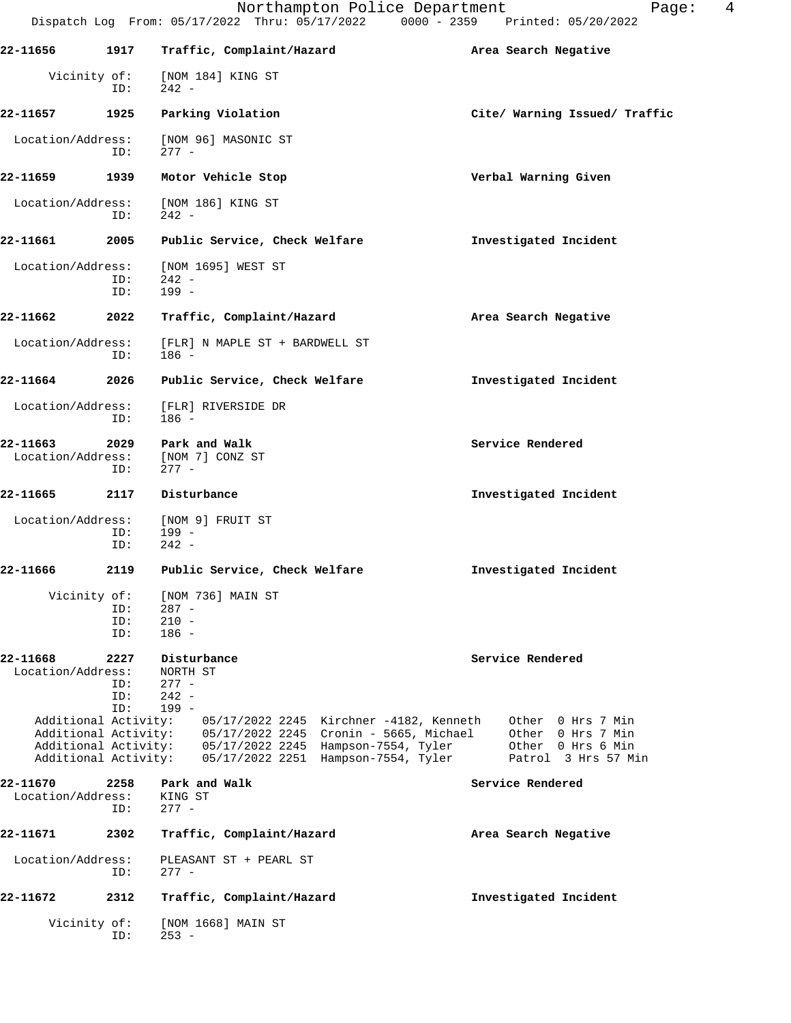|                               |                           | Northampton Police Department<br>Dispatch Log From: 05/17/2022 Thru: 05/17/2022 0000 - 2359 Printed: 05/20/2022                                                                                                                 | 4<br>Page:                                                                         |
|-------------------------------|---------------------------|---------------------------------------------------------------------------------------------------------------------------------------------------------------------------------------------------------------------------------|------------------------------------------------------------------------------------|
| 22-11656                      | 1917                      | Traffic, Complaint/Hazard                                                                                                                                                                                                       | Area Search Negative                                                               |
| Vicinity of:                  | ID:                       | [NOM 184] KING ST<br>$242 -$                                                                                                                                                                                                    |                                                                                    |
| 22-11657                      | 1925                      | Parking Violation                                                                                                                                                                                                               | Cite/ Warning Issued/ Traffic                                                      |
| Location/Address:             | ID:                       | [NOM 96] MASONIC ST<br>$277 -$                                                                                                                                                                                                  |                                                                                    |
| 22-11659                      | 1939                      | Motor Vehicle Stop                                                                                                                                                                                                              | Verbal Warning Given                                                               |
| Location/Address:             | ID:                       | [NOM 186] KING ST<br>$242 -$                                                                                                                                                                                                    |                                                                                    |
| 22–11661                      | 2005                      | Public Service, Check Welfare                                                                                                                                                                                                   | Investigated Incident                                                              |
| Location/Address:             | ID:<br>ID:                | [NOM 1695] WEST ST<br>$242 -$<br>$199 -$                                                                                                                                                                                        |                                                                                    |
| 22-11662                      | 2022                      | Traffic, Complaint/Hazard                                                                                                                                                                                                       | Area Search Negative                                                               |
| Location/Address:             | ID:                       | [FLR] N MAPLE ST + BARDWELL ST<br>$186 -$                                                                                                                                                                                       |                                                                                    |
| 22-11664                      | 2026                      | Public Service, Check Welfare                                                                                                                                                                                                   | Investigated Incident                                                              |
| Location/Address:             | ID:                       | [FLR] RIVERSIDE DR<br>186 -                                                                                                                                                                                                     |                                                                                    |
| 22-11663<br>Location/Address: | 2029<br>ID:               | Park and Walk<br>[NOM 7] CONZ ST<br>$277 -$                                                                                                                                                                                     | Service Rendered                                                                   |
| 22-11665                      | 2117                      | Disturbance                                                                                                                                                                                                                     | Investigated Incident                                                              |
| Location/Address:             | ID:<br>ID:                | [NOM 9] FRUIT ST<br>199 -<br>$242 -$                                                                                                                                                                                            |                                                                                    |
| 22-11666                      | 2119                      | Public Service, Check Welfare                                                                                                                                                                                                   | Investigated Incident                                                              |
| Vicinity of:                  | ID:<br>ID:<br>ID:         | [NOM 736] MAIN ST<br>$287 -$<br>$210 -$<br>$186 -$                                                                                                                                                                              |                                                                                    |
| 22-11668<br>Location/Address: | 2227<br>ID:<br>ID:<br>ID: | Disturbance<br>NORTH ST<br>$277 -$<br>$242 -$<br>$199 -$                                                                                                                                                                        | Service Rendered                                                                   |
| Additional Activity:          |                           | 05/17/2022 2245  Kirchner -4182, Kenneth<br>Additional Activity: 05/17/2022 2245 Cronin - 5665, Michael<br>Additional Activity: 05/17/2022 2245 Hampson-7554, Tyler<br>Additional Activity: 05/17/2022 2251 Hampson-7554, Tyler | Other 0 Hrs 7 Min<br>Other 0 Hrs 7 Min<br>Other 0 Hrs 6 Min<br>Patrol 3 Hrs 57 Min |
| 22-11670<br>Location/Address: | 2258<br>ID:               | Park and Walk<br>KING ST<br>$277 -$                                                                                                                                                                                             | Service Rendered                                                                   |
| 22-11671                      | 2302                      | Traffic, Complaint/Hazard                                                                                                                                                                                                       | Area Search Negative                                                               |
| Location/Address:             | ID:                       | PLEASANT ST + PEARL ST<br>$277 -$                                                                                                                                                                                               |                                                                                    |
| 22-11672                      | 2312                      | Traffic, Complaint/Hazard                                                                                                                                                                                                       | Investigated Incident                                                              |
| Vicinity of:                  | ID:                       | [NOM 1668] MAIN ST<br>$253 -$                                                                                                                                                                                                   |                                                                                    |